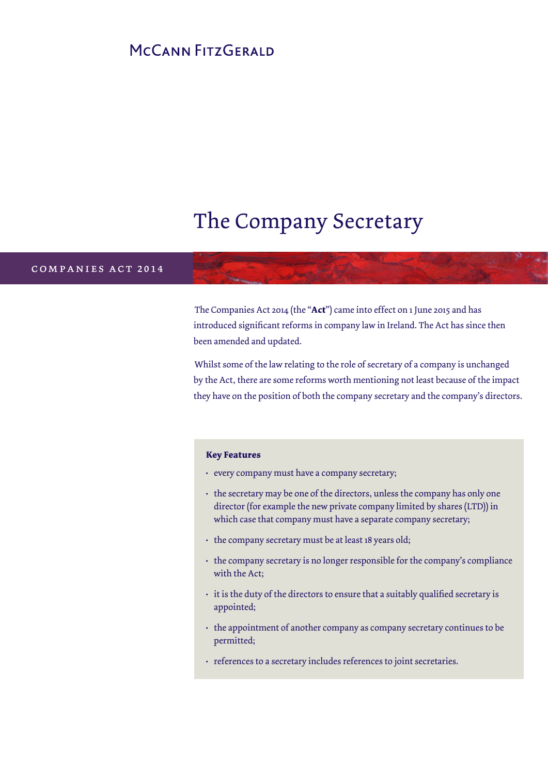### MCCANN FITZGERALD

# The Company Secretary

### c o m p a n i e s b i l l 2 0 1 2 companies act 2014

The Companies Act 2014 (the "**Act**") came into effect on 1 June 2015 and has introduced significant reforms in company law in Ireland. The Act has since then been amended and updated.

Whilst some of the law relating to the role of secretary of a company is unchanged by the Act, there are some reforms worth mentioning not least because of the impact they have on the position of both the company secretary and the company's directors.

#### **Key Features**

- every company must have a company secretary;
- the secretary may be one of the directors, unless the company has only one director (for example the new private company limited by shares (LTD)) in which case that company must have a separate company secretary;
- the company secretary must be at least 18 years old;
- the company secretary is no longer responsible for the company's compliance with the Act;
- it is the duty of the directors to ensure that a suitably qualified secretary is appointed;
- the appointment of another company as company secretary continues to be permitted;
- references to a secretary includes references to joint secretaries.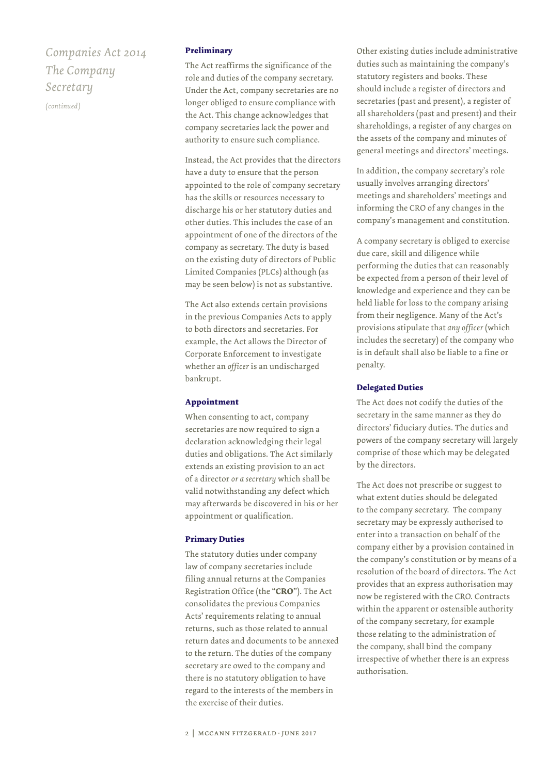## *Companies Act 2014 The Company Secretary*

*(continued)*

#### **Preliminary**

The Act reaffirms the significance of the role and duties of the company secretary. Under the Act, company secretaries are no longer obliged to ensure compliance with the Act. This change acknowledges that company secretaries lack the power and authority to ensure such compliance.

Instead, the Act provides that the directors have a duty to ensure that the person appointed to the role of company secretary has the skills or resources necessary to discharge his or her statutory duties and other duties. This includes the case of an appointment of one of the directors of the company as secretary. The duty is based on the existing duty of directors of Public Limited Companies (PLCs) although (as may be seen below) is not as substantive.

The Act also extends certain provisions in the previous Companies Acts to apply to both directors and secretaries. For example, the Act allows the Director of Corporate Enforcement to investigate whether an *officer* is an undischarged bankrupt.

#### **Appointment**

When consenting to act, company secretaries are now required to sign a declaration acknowledging their legal duties and obligations. The Act similarly extends an existing provision to an act of a director *or a secretary* which shall be valid notwithstanding any defect which may afterwards be discovered in his or her appointment or qualification.

#### **Primary Duties**

The statutory duties under company law of company secretaries include filing annual returns at the Companies Registration Office (the "**CRO**"). The Act consolidates the previous Companies Acts' requirements relating to annual returns, such as those related to annual return dates and documents to be annexed to the return. The duties of the company secretary are owed to the company and there is no statutory obligation to have regard to the interests of the members in the exercise of their duties.

Other existing duties include administrative duties such as maintaining the company's statutory registers and books. These should include a register of directors and secretaries (past and present), a register of all shareholders (past and present) and their shareholdings, a register of any charges on the assets of the company and minutes of general meetings and directors' meetings.

In addition, the company secretary's role usually involves arranging directors' meetings and shareholders' meetings and informing the CRO of any changes in the company's management and constitution.

A company secretary is obliged to exercise due care, skill and diligence while performing the duties that can reasonably be expected from a person of their level of knowledge and experience and they can be held liable for loss to the company arising from their negligence. Many of the Act's provisions stipulate that *any officer* (which includes the secretary) of the company who is in default shall also be liable to a fine or penalty.

#### **Delegated Duties**

The Act does not codify the duties of the secretary in the same manner as they do directors' fiduciary duties. The duties and powers of the company secretary will largely comprise of those which may be delegated by the directors.

The Act does not prescribe or suggest to what extent duties should be delegated to the company secretary. The company secretary may be expressly authorised to enter into a transaction on behalf of the company either by a provision contained in the company's constitution or by means of a resolution of the board of directors. The Act provides that an express authorisation may now be registered with the CRO. Contracts within the apparent or ostensible authority of the company secretary, for example those relating to the administration of the company, shall bind the company irrespective of whether there is an express authorisation.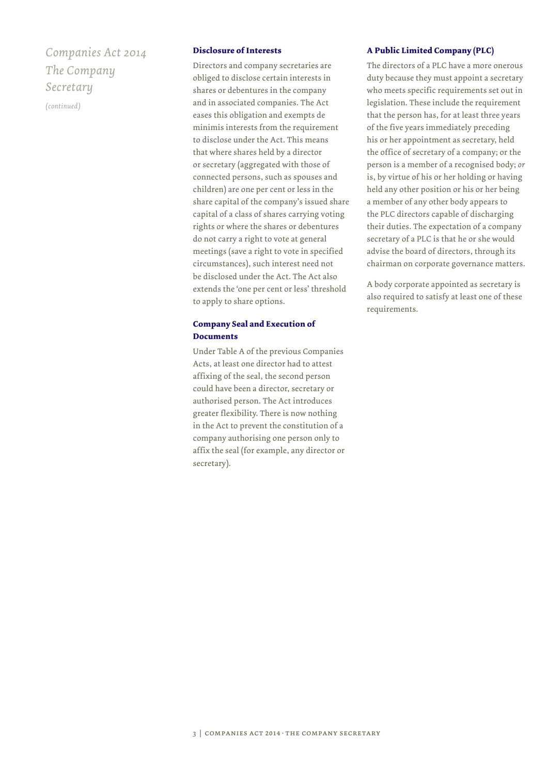## *Companies Act 2014 The Company Secretary*

*(continued)*

#### **Disclosure of Interests**

Directors and company secretaries are obliged to disclose certain interests in shares or debentures in the company and in associated companies. The Act eases this obligation and exempts de minimis interests from the requirement to disclose under the Act. This means that where shares held by a director or secretary (aggregated with those of connected persons, such as spouses and children) are one per cent or less in the share capital of the company's issued share capital of a class of shares carrying voting rights or where the shares or debentures do not carry a right to vote at general meetings (save a right to vote in specified circumstances), such interest need not be disclosed under the Act. The Act also extends the 'one per cent or less' threshold to apply to share options.

#### **Company Seal and Execution of Documents**

Under Table A of the previous Companies Acts, at least one director had to attest affixing of the seal, the second person could have been a director, secretary or authorised person. The Act introduces greater flexibility. There is now nothing in the Act to prevent the constitution of a company authorising one person only to affix the seal (for example, any director or secretary).

#### **A Public Limited Company (PLC)**

The directors of a PLC have a more onerous duty because they must appoint a secretary who meets specific requirements set out in legislation. These include the requirement that the person has, for at least three years of the five years immediately preceding his or her appointment as secretary, held the office of secretary of a company; or the person is a member of a recognised body; *or* is, by virtue of his or her holding or having held any other position or his or her being a member of any other body appears to the PLC directors capable of discharging their duties. The expectation of a company secretary of a PLC is that he or she would advise the board of directors, through its chairman on corporate governance matters.

A body corporate appointed as secretary is also required to satisfy at least one of these requirements.